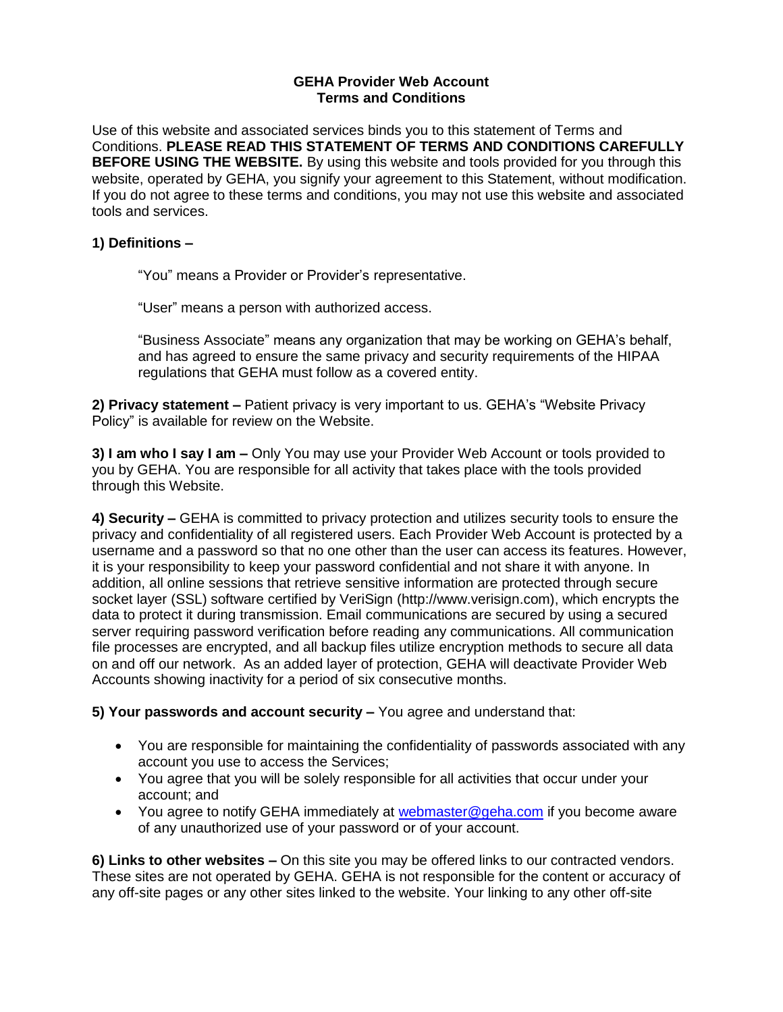## **GEHA Provider Web Account Terms and Conditions**

Use of this website and associated services binds you to this statement of Terms and Conditions. **PLEASE READ THIS STATEMENT OF TERMS AND CONDITIONS CAREFULLY BEFORE USING THE WEBSITE.** By using this website and tools provided for you through this website, operated by GEHA, you signify your agreement to this Statement, without modification. If you do not agree to these terms and conditions, you may not use this website and associated tools and services.

## **1) Definitions –**

"You" means a Provider or Provider's representative.

"User" means a person with authorized access.

"Business Associate" means any organization that may be working on GEHA's behalf, and has agreed to ensure the same privacy and security requirements of the HIPAA regulations that GEHA must follow as a covered entity.

**2) Privacy statement –** Patient privacy is very important to us. GEHA's "Website Privacy Policy" is available for review on the Website.

**3) I am who I say I am –** Only You may use your Provider Web Account or tools provided to you by GEHA. You are responsible for all activity that takes place with the tools provided through this Website.

**4) Security –** GEHA is committed to privacy protection and utilizes security tools to ensure the privacy and confidentiality of all registered users. Each Provider Web Account is protected by a username and a password so that no one other than the user can access its features. However, it is your responsibility to keep your password confidential and not share it with anyone. In addition, all online sessions that retrieve sensitive information are protected through secure socket layer (SSL) software certified by VeriSign (http://www.verisign.com), which encrypts the data to protect it during transmission. Email communications are secured by using a secured server requiring password verification before reading any communications. All communication file processes are encrypted, and all backup files utilize encryption methods to secure all data on and off our network. As an added layer of protection, GEHA will deactivate Provider Web Accounts showing inactivity for a period of six consecutive months.

**5) Your passwords and account security –** You agree and understand that:

- You are responsible for maintaining the confidentiality of passwords associated with any account you use to access the Services;
- You agree that you will be solely responsible for all activities that occur under your account; and
- You agree to notify GEHA immediately at [webmaster@geha.com](mailto:webmaster@geha.com) if you become aware of any unauthorized use of your password or of your account.

**6) Links to other websites –** On this site you may be offered links to our contracted vendors. These sites are not operated by GEHA. GEHA is not responsible for the content or accuracy of any off-site pages or any other sites linked to the website. Your linking to any other off-site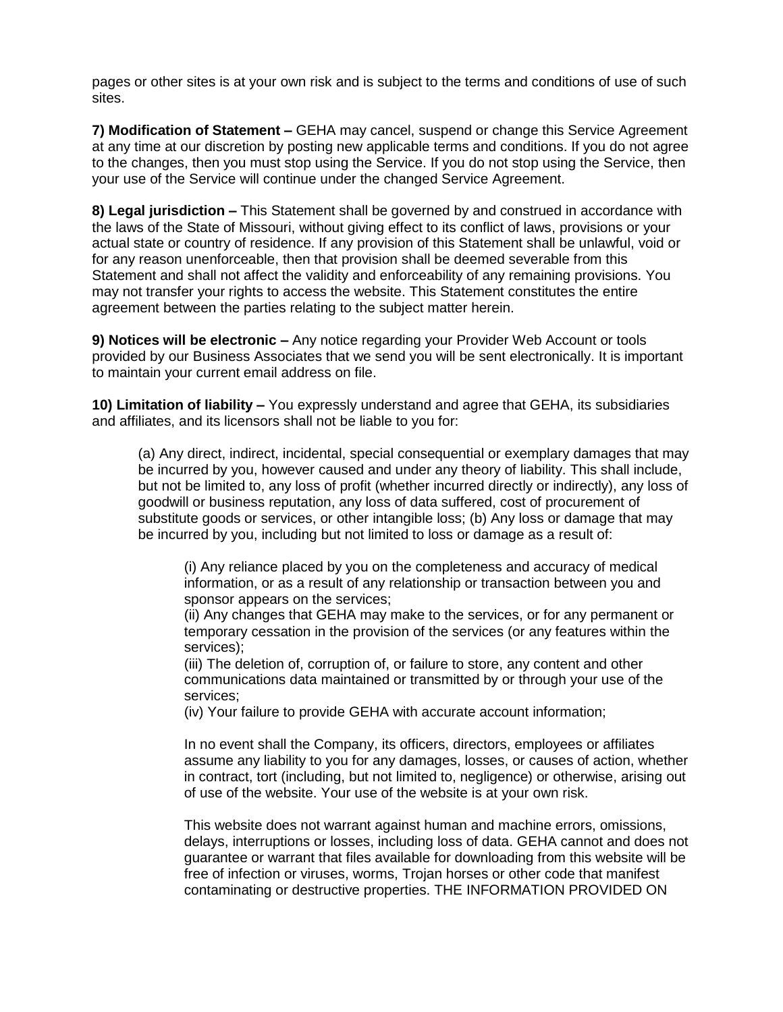pages or other sites is at your own risk and is subject to the terms and conditions of use of such sites.

**7) Modification of Statement –** GEHA may cancel, suspend or change this Service Agreement at any time at our discretion by posting new applicable terms and conditions. If you do not agree to the changes, then you must stop using the Service. If you do not stop using the Service, then your use of the Service will continue under the changed Service Agreement.

**8) Legal jurisdiction –** This Statement shall be governed by and construed in accordance with the laws of the State of Missouri, without giving effect to its conflict of laws, provisions or your actual state or country of residence. If any provision of this Statement shall be unlawful, void or for any reason unenforceable, then that provision shall be deemed severable from this Statement and shall not affect the validity and enforceability of any remaining provisions. You may not transfer your rights to access the website. This Statement constitutes the entire agreement between the parties relating to the subject matter herein.

**9) Notices will be electronic –** Any notice regarding your Provider Web Account or tools provided by our Business Associates that we send you will be sent electronically. It is important to maintain your current email address on file.

**10) Limitation of liability –** You expressly understand and agree that GEHA, its subsidiaries and affiliates, and its licensors shall not be liable to you for:

(a) Any direct, indirect, incidental, special consequential or exemplary damages that may be incurred by you, however caused and under any theory of liability. This shall include, but not be limited to, any loss of profit (whether incurred directly or indirectly), any loss of goodwill or business reputation, any loss of data suffered, cost of procurement of substitute goods or services, or other intangible loss; (b) Any loss or damage that may be incurred by you, including but not limited to loss or damage as a result of:

(i) Any reliance placed by you on the completeness and accuracy of medical information, or as a result of any relationship or transaction between you and sponsor appears on the services;

(ii) Any changes that GEHA may make to the services, or for any permanent or temporary cessation in the provision of the services (or any features within the services);

(iii) The deletion of, corruption of, or failure to store, any content and other communications data maintained or transmitted by or through your use of the services;

(iv) Your failure to provide GEHA with accurate account information;

In no event shall the Company, its officers, directors, employees or affiliates assume any liability to you for any damages, losses, or causes of action, whether in contract, tort (including, but not limited to, negligence) or otherwise, arising out of use of the website. Your use of the website is at your own risk.

This website does not warrant against human and machine errors, omissions, delays, interruptions or losses, including loss of data. GEHA cannot and does not guarantee or warrant that files available for downloading from this website will be free of infection or viruses, worms, Trojan horses or other code that manifest contaminating or destructive properties. THE INFORMATION PROVIDED ON